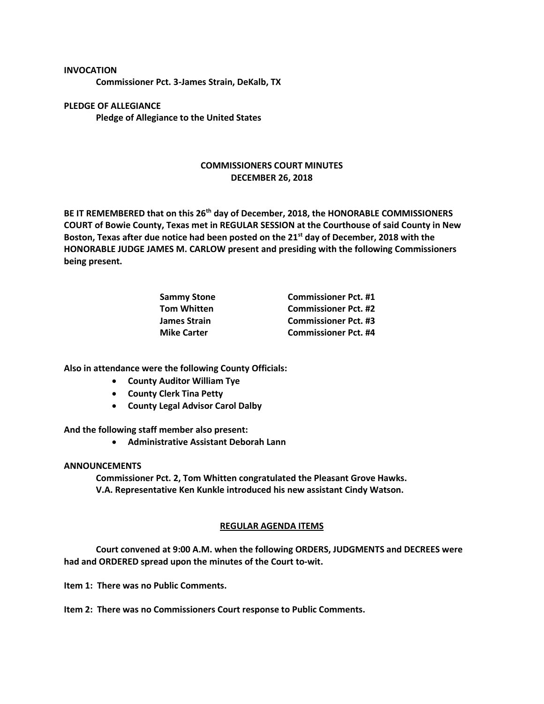**INVOCATION**

**Commissioner Pct. 3-James Strain, DeKalb, TX**

**PLEDGE OF ALLEGIANCE Pledge of Allegiance to the United States**

## **COMMISSIONERS COURT MINUTES DECEMBER 26, 2018**

**BE IT REMEMBERED that on this 26th day of December, 2018, the HONORABLE COMMISSIONERS COURT of Bowie County, Texas met in REGULAR SESSION at the Courthouse of said County in New Boston, Texas after due notice had been posted on the 21st day of December, 2018 with the HONORABLE JUDGE JAMES M. CARLOW present and presiding with the following Commissioners being present.**

| Sammy Stone<br>Tom Whitten | <b>Commissioner Pct. #1</b> |
|----------------------------|-----------------------------|
|                            | <b>Commissioner Pct. #2</b> |
| James Strain               | <b>Commissioner Pct. #3</b> |
| <b>Mike Carter</b>         | <b>Commissioner Pct. #4</b> |
|                            |                             |

**Also in attendance were the following County Officials:**

- **County Auditor William Tye**
- **County Clerk Tina Petty**
- **County Legal Advisor Carol Dalby**

**And the following staff member also present:**

• **Administrative Assistant Deborah Lann**

## **ANNOUNCEMENTS**

**Commissioner Pct. 2, Tom Whitten congratulated the Pleasant Grove Hawks. V.A. Representative Ken Kunkle introduced his new assistant Cindy Watson.**

## **REGULAR AGENDA ITEMS**

**Court convened at 9:00 A.M. when the following ORDERS, JUDGMENTS and DECREES were had and ORDERED spread upon the minutes of the Court to-wit.**

**Item 1: There was no Public Comments.**

**Item 2: There was no Commissioners Court response to Public Comments.**